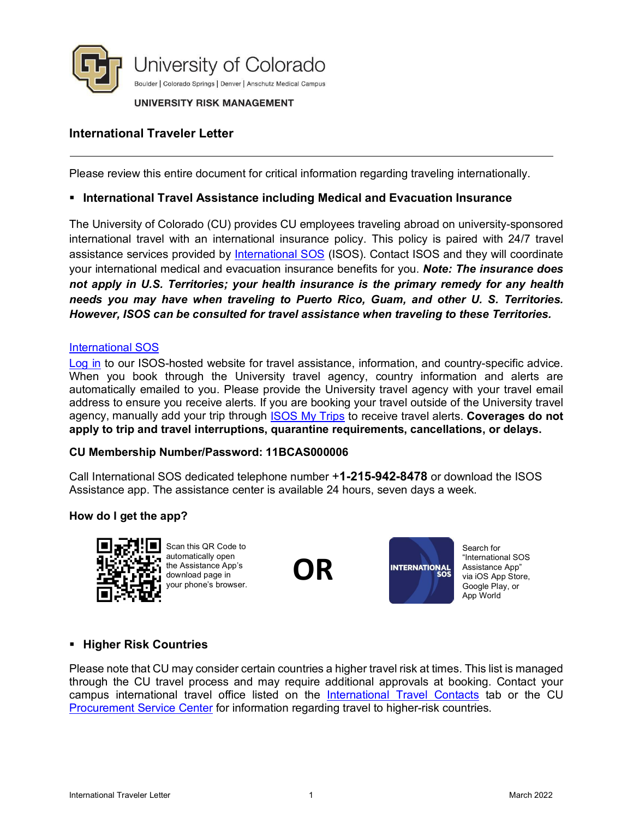

#### UNIVERSITY RISK MANAGEMENT

# **International Traveler Letter**

Please review this entire document for critical information regarding traveling internationally.

### **International Travel Assistance including Medical and Evacuation Insurance**

The University of Colorado (CU) provides CU employees traveling abroad on university-sponsored international travel with an international insurance policy. This policy is paired with 24/7 travel assistance services provided by [International SOS](http://www.internationalsos.com/) (ISOS). Contact ISOS and they will coordinate your international medical and evacuation insurance benefits for you. *Note: The insurance does not apply in U.S. Territories; your health insurance is the primary remedy for any health needs you may have when traveling to Puerto Rico, Guam, and other U. S. Territories. However, ISOS can be consulted for travel assistance when traveling to these Territories.* 

#### [International SOS](http://www.internationalsos.com/)

[Log in](http://www.internationalsos.com/) to our ISOS-hosted website for travel assistance, information, and country-specific advice. When you book through the University travel agency, country information and alerts are automatically emailed to you. Please provide the University travel agency with your travel email address to ensure you receive alerts. If you are booking your travel outside of the University travel agency, manually add your trip through [ISOS My Trips](http://www.internationalsos.com/) to receive travel alerts. **Coverages do not apply to trip and travel interruptions, quarantine requirements, cancellations, or delays.**

### **CU Membership Number/Password: 11BCAS000006**

Call International SOS dedicated telephone number +**1-215-942-8478** or download the ISOS Assistance app. The assistance center is available 24 hours, seven days a week.

### **How do I get the app?**



Scan this QR Code to automatically open the Assistance App's download page in your phone's browser.





Search for "International SOS Assistance App" via iOS App Store, Google Play, or App World

### **Higher Risk Countries**

Please note that CU may consider certain countries a higher travel risk at times. This list is managed through the CU travel process and may require additional approvals at booking. Contact your campus international travel office listed on the [International Travel Contacts](https://www.cu.edu/risk/services/international-travel) tab or the CU Procurement [Service Center](https://www.cu.edu/psc/procurement) for information regarding travel to higher-risk countries.